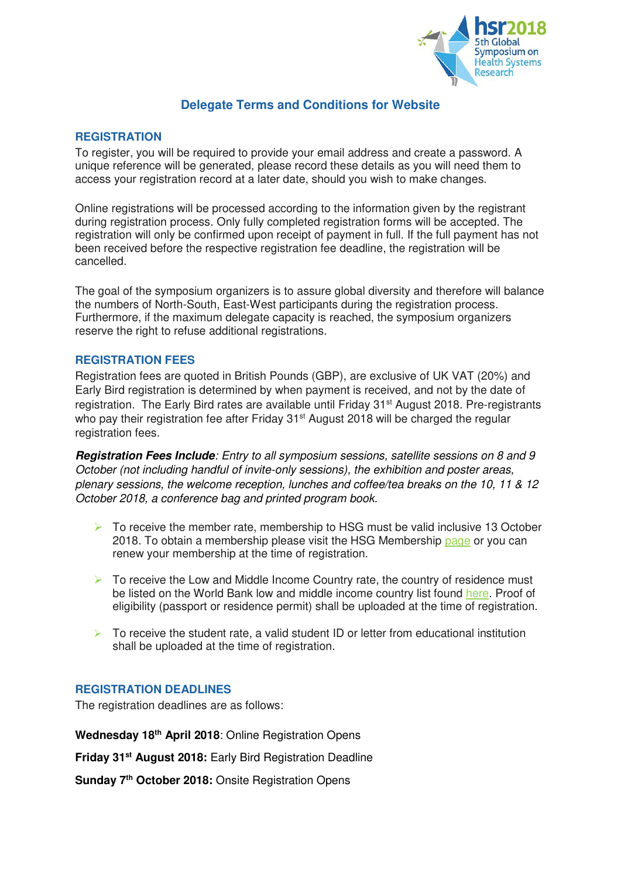

# **Delegate Terms and Conditions for Website**

# **REGISTRATION**

To register, you will be required to provide your email address and create a password. A unique reference will be generated, please record these details as you will need them to access your registration record at a later date, should you wish to make changes.

Online registrations will be processed according to the information given by the registrant during registration process. Only fully completed registration forms will be accepted. The registration will only be confirmed upon receipt of payment in full. If the full payment has not been received before the respective registration fee deadline, the registration will be cancelled.

The goal of the symposium organizers is to assure global diversity and therefore will balance the numbers of North-South, East-West participants during the registration process. Furthermore, if the maximum delegate capacity is reached, the symposium organizers reserve the right to refuse additional registrations.

# **REGISTRATION FEES**

Registration fees are quoted in British Pounds (GBP), are exclusive of UK VAT (20%) and Early Bird registration is determined by when payment is received, and not by the date of registration. The Early Bird rates are available until Friday 31<sup>st</sup> August 2018. Pre-registrants who pay their registration fee after Friday 31<sup>st</sup> August 2018 will be charged the regular registration fees.

**Registration Fees Include***: Entry to all symposium sessions, satellite sessions on 8 and 9 October (not including handful of invite-only sessions), the exhibition and poster areas, plenary sessions, the welcome reception, lunches and coffee/tea breaks on the 10, 11 & 12 October 2018, a conference bag and printed program book.* 

- $\triangleright$  To receive the member rate, membership to HSG must be valid inclusive 13 October 2018. To obtain a membership please visit the HSG Membership [page](https://healthsystemsglobal.wildapricot.org/) or you can renew your membership at the time of registration.
- $\triangleright$  To receive the Low and Middle Income Country rate, the country of residence must be listed on the World Bank low and middle income country list found [here.](http://data.worldbank.org/income-level/LMY) Proof of eligibility (passport or residence permit) shall be uploaded at the time of registration.
- $\triangleright$  To receive the student rate, a valid student ID or letter from educational institution shall be uploaded at the time of registration.

# **REGISTRATION DEADLINES**

The registration deadlines are as follows:

**Wednesday 18th April 2018**: Online Registration Opens

**Friday 31st August 2018:** Early Bird Registration Deadline

**Sunday 7th October 2018:** Onsite Registration Opens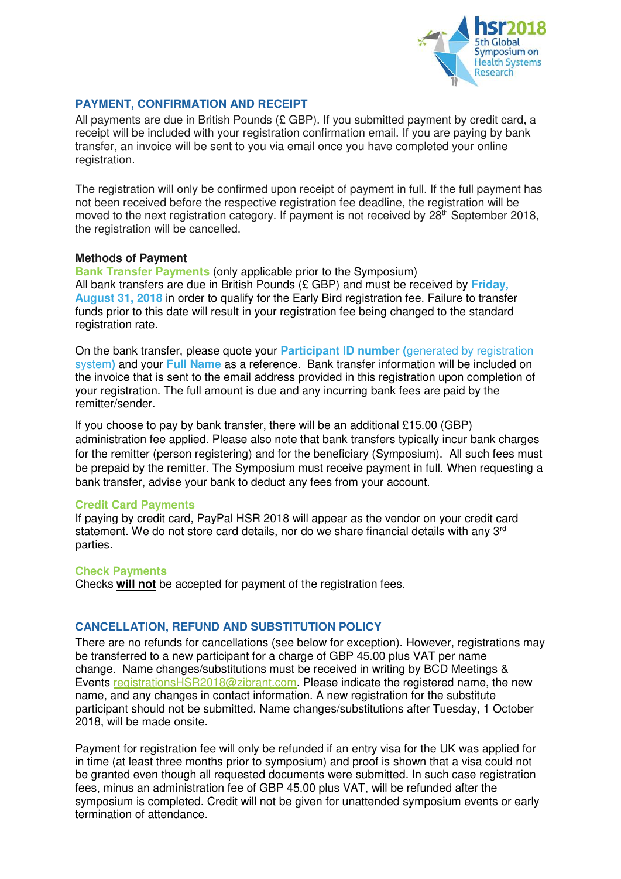

# **PAYMENT, CONFIRMATION AND RECEIPT**

All payments are due in British Pounds (£ GBP). If you submitted payment by credit card, a receipt will be included with your registration confirmation email. If you are paying by bank transfer, an invoice will be sent to you via email once you have completed your online registration.

The registration will only be confirmed upon receipt of payment in full. If the full payment has not been received before the respective registration fee deadline, the registration will be moved to the next registration category. If payment is not received by 28<sup>th</sup> September 2018, the registration will be cancelled.

#### **Methods of Payment**

**Bank Transfer Payments** (only applicable prior to the Symposium) All bank transfers are due in British Pounds (£ GBP) and must be received by **Friday, August 31, 2018** in order to qualify for the Early Bird registration fee. Failure to transfer funds prior to this date will result in your registration fee being changed to the standard registration rate.

On the bank transfer, please quote your **Participant ID number (**generated by registration system**)** and your **Full Name** as a reference. Bank transfer information will be included on the invoice that is sent to the email address provided in this registration upon completion of your registration. The full amount is due and any incurring bank fees are paid by the remitter/sender.

If you choose to pay by bank transfer, there will be an additional £15.00 (GBP) administration fee applied. Please also note that bank transfers typically incur bank charges for the remitter (person registering) and for the beneficiary (Symposium). All such fees must be prepaid by the remitter. The Symposium must receive payment in full. When requesting a bank transfer, advise your bank to deduct any fees from your account.

# **Credit Card Payments**

If paying by credit card, PayPal HSR 2018 will appear as the vendor on your credit card statement. We do not store card details, nor do we share financial details with any 3<sup>rd</sup> parties.

#### **Check Payments**

Checks **will not** be accepted for payment of the registration fees.

# **CANCELLATION, REFUND AND SUBSTITUTION POLICY**

There are no refunds for cancellations (see below for exception). However, registrations may be transferred to a new participant for a charge of GBP 45.00 plus VAT per name change. Name changes/substitutions must be received in writing by BCD Meetings & Events [registrationsHSR2018@zibrant.com.](mailto:registrationsHSR2018@zibrant.com) Please indicate the registered name, the new name, and any changes in contact information. A new registration for the substitute participant should not be submitted. Name changes/substitutions after Tuesday, 1 October 2018, will be made onsite.

Payment for registration fee will only be refunded if an entry visa for the UK was applied for in time (at least three months prior to symposium) and proof is shown that a visa could not be granted even though all requested documents were submitted. In such case registration fees, minus an administration fee of GBP 45.00 plus VAT, will be refunded after the symposium is completed. Credit will not be given for unattended symposium events or early termination of attendance.